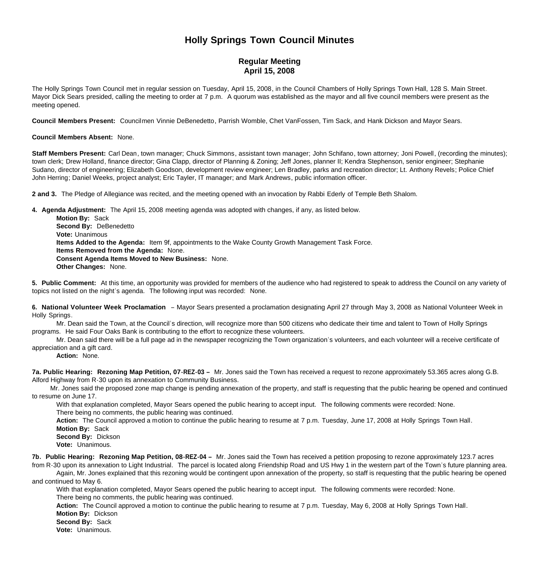## **Holly Springs Town Council Minutes**

## **Regular Meeting April 15, 2008**

The Holly Springs Town Council met in regular session on Tuesday, April 15, 2008, in the Council Chambers of Holly Springs Town Hall, 128 S. Main Street. Mayor Dick Sears presided, calling the meeting to order at 7 p.m. A quorum was established as the mayor and all five council members were present as the meeting opened.

**Council Members Present:** Councilmen Vinnie DeBenedetto, Parrish Womble, Chet VanFossen, Tim Sack, and Hank Dickson and Mayor Sears.

## **Council Members Absent:** None.

**Staff Members Present:** Carl Dean, town manager; Chuck Simmons, assistant town manager; John Schifano, town attorney; Joni Powell, (recording the minutes); town clerk; Drew Holland, finance director; Gina Clapp, director of Planning & Zoning; Jeff Jones, planner II; Kendra Stephenson, senior engineer; Stephanie Sudano, director of engineering; Elizabeth Goodson, development review engineer; Len Bradley, parks and recreation director; Lt. Anthony Revels; Police Chief John Herring; Daniel Weeks, project analyst; Eric Tayler, IT manager; and Mark Andrews, public information officer.

**2 and 3.** The Pledge of Allegiance was recited, and the meeting opened with an invocation by Rabbi Ederly of Temple Beth Shalom.

**4. Agenda Adjustment:** The April 15, 2008 meeting agenda was adopted with changes, if any, as listed below. **Motion By:** Sack **Second By:** DeBenedetto **Vote:** Unanimous **Items Added to the Agenda:** Item 9f, appointments to the Wake County Growth Management Task Force. **Items Removed from the Agenda:** None. **Consent Agenda Items Moved to New Business:** None. **Other Changes:** None.

**5. Public Comment:** At this time, an opportunity was provided for members of the audience who had registered to speak to address the Council on any variety of topics not listed on the night's agenda. The following input was recorded: None.

**6. National Volunteer Week Proclamation** – Mayor Sears presented a proclamation designating April 27 through May 3, 2008 as National Volunteer Week in Holly Springs.

 Mr. Dean said the Town, at the Council's direction, will recognize more than 500 citizens who dedicate their time and talent to Town of Holly Springs programs. He said Four Oaks Bank is contributing to the effort to recognize these volunteers.

 Mr. Dean said there will be a full page ad in the newspaper recognizing the Town organization's volunteers, and each volunteer will a receive certificate of appreciation and a gift card.

**Action:** None.

**7a. Public Hearing: Rezoning Map Petition, 07-REZ-03 –** Mr. Jones said the Town has received a request to rezone approximately 53.365 acres along G.B. Alford Highway from R-30 upon its annexation to Community Business.

 Mr. Jones said the proposed zone map change is pending annexation of the property, and staff is requesting that the public hearing be opened and continued to resume on June 17.

With that explanation completed, Mayor Sears opened the public hearing to accept input. The following comments were recorded: None. There being no comments, the public hearing was continued.

**Action:** The Council approved a motion to continue the public hearing to resume at 7 p.m. Tuesday, June 17, 2008 at Holly Springs Town Hall.

 **Motion By:** Sack **Second By:** Dickson

**Vote:** Unanimous.

**7b. Public Hearing: Rezoning Map Petition, 08-REZ-04 –** Mr. Jones said the Town has received a petition proposing to rezone approximately 123.7 acres from R-30 upon its annexation to Light Industrial. The parcel is located along Friendship Road and US Hwy 1 in the western part of the Town's future planning area.

 Again, Mr. Jones explained that this rezoning would be contingent upon annexation of the property, so staff is requesting that the public hearing be opened and continued to May 6.

 With that explanation completed, Mayor Sears opened the public hearing to accept input. The following comments were recorded: None. There being no comments, the public hearing was continued.

**Action:** The Council approved a motion to continue the public hearing to resume at 7 p.m. Tuesday, May 6, 2008 at Holly Springs Town Hall.

**Motion By:** Dickson

**Second By:** Sack

**Vote:** Unanimous.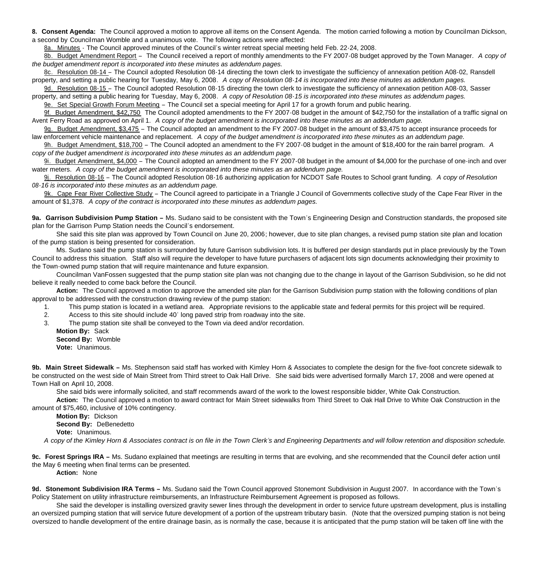**8. Consent Agenda:** The Council approved a motion to approve all items on the Consent Agenda. The motion carried following a motion by Councilman Dickson, a second by Councilman Womble and a unanimous vote. The following actions were affected:

8a. Minutes - The Council approved minutes of the Council's winter retreat special meeting held Feb. 22-24, 2008.

8b. Budget Amendment Report – The Council received a report of monthly amendments to the FY 2007-08 budget approved by the Town Manager. *A copy of the budget amendment report is incorporated into these minutes as addendum pages.*

8c. Resolution 08-14 – The Council adopted Resolution 08-14 directing the town clerk to investigate the sufficiency of annexation petition A08-02, Ransdell property, and setting a public hearing for Tuesday, May 6, 2008. *A copy of Resolution 08-14 is incorporated into these minutes as addendum pages.*

9d. Resolution 08-15 – The Council adopted Resolution 08-15 directing the town clerk to investigate the sufficiency of annexation petition A08-03, Sasser property, and setting a public hearing for Tuesday, May 6, 2008. *A copy of Resolution 08-15 is incorporated into these minutes as addendum pages.*

9e. Set Special Growth Forum Meeting – The Council set a special meeting for April 17 for a growth forum and public hearing.

9f. Budget Amendment, \$42,750 The Council adopted amendments to the FY 2007-08 budget in the amount of \$42,750 for the installation of a traffic signal on Avent Ferry Road as approved on April 1. *A copy of the budget amendment is incorporated into these minutes as an addendum page.*

9g. Budget Amendment, \$3,475 - The Council adopted an amendment to the FY 2007-08 budget in the amount of \$3,475 to accept insurance proceeds for law enforcement vehicle maintenance and replacement. *A copy of the budget amendment is incorporated into these minutes as an addendum page.*

9h. Budget Amendment, \$18,700 – The Council adopted an amendment to the FY 2007-08 budget in the amount of \$18,400 for the rain barrel program. *A copy of the budget amendment is incorporated into these minutes as an addendum page.*

9i. Budget Amendment, \$4,000 – The Council adopted an amendment to the FY 2007-08 budget in the amount of \$4,000 for the purchase of one-inch and over water meters. *A copy of the budget amendment is incorporated into these minutes as an addendum page.*

9j. Resolution 08-16 – The Council adopted Resolution 08-16 authorizing application for NCDOT Safe Routes to School grant funding. *A copy of Resolution 08-16 is incorporated into these minutes as an addendum page.*

9k. Cape Fear River Collective Study – The Council agreed to participate in a Triangle J Council of Governments collective study of the Cape Fear River in the amount of \$1,378. *A copy of the contract is incorporated into these minutes as addendum pages.*

**9a.** Garrison Subdivision Pump Station – Ms. Sudano said to be consistent with the Town's Engineering Design and Construction standards, the proposed site plan for the Garrison Pump Station needs the Council's endorsement.

 She said this site plan was approved by Town Council on June 20, 2006; however, due to site plan changes, a revised pump station site plan and location of the pump station is being presented for consideration.

 Ms. Sudano said the pump station is surrounded by future Garrison subdivision lots. It is buffered per design standards put in place previously by the Town Council to address this situation. Staff also will require the developer to have future purchasers of adjacent lots sign documents acknowledging their proximity to the Town-owned pump station that will require maintenance and future expansion.

 Councilman VanFossen suggested that the pump station site plan was not changing due to the change in layout of the Garrison Subdivision, so he did not believe it really needed to come back before the Council.

**Action:** The Council approved a motion to approve the amended site plan for the Garrison Subdivision pump station with the following conditions of plan approval to be addressed with the construction drawing review of the pump station:

1. This pump station is located in a wetland area. Appropriate revisions to the applicable state and federal permits for this project will be required.

2. Access to this site should include 40' long paved strip from roadway into the site.

3. The pump station site shall be conveyed to the Town via deed and/or recordation.

 **Motion By:** Sack **Second By:** Womble **Vote:** Unanimous.

**9b. Main Street Sidewalk –** Ms. Stephenson said staff has worked with Kimley Horn & Associates to complete the design for the five-foot concrete sidewalk to be constructed on the west side of Main Street from Third street to Oak Hall Drive. She said bids were advertised formally March 17, 2008 and were opened at Town Hall on April 10, 2008.

She said bids were informally solicited, and staff recommends award of the work to the lowest responsible bidder, White Oak Construction.

**Action:** The Council approved a motion to award contract for Main Street sidewalks from Third Street to Oak Hall Drive to White Oak Construction in the amount of \$75,460, inclusive of 10% contingency.

 **Motion By:** Dickson **Second By: DeBenedetto Vote:** Unanimous.

*A copy of the Kimley Horn & Associates contract is on file in the Town Clerk's and Engineering Departments and will follow retention and disposition schedule.*

**9c. Forest Springs IRA –** Ms. Sudano explained that meetings are resulting in terms that are evolving, and she recommended that the Council defer action until the May 6 meeting when final terms can be presented.

**Action:** None

**9d. Stonemont Subdivision IRA Terms –** Ms. Sudano said the Town Council approved Stonemont Subdivision in August 2007. In accordance with the Town's Policy Statement on utility infrastructure reimbursements, an Infrastructure Reimbursement Agreement is proposed as follows.

 She said the developer is installing oversized gravity sewer lines through the development in order to service future upstream development, plus is installing an oversized pumping station that will service future development of a portion of the upstream tributary basin. (Note that the oversized pumping station is not being oversized to handle development of the entire drainage basin, as is normally the case, because it is anticipated that the pump station will be taken off line with the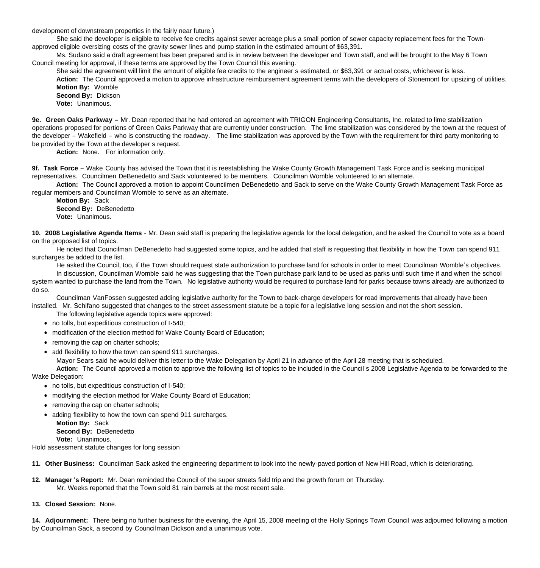development of downstream properties in the fairly near future.)

 She said the developer is eligible to receive fee credits against sewer acreage plus a small portion of sewer capacity replacement fees for the Townapproved eligible oversizing costs of the gravity sewer lines and pump station in the estimated amount of \$63,391.

 Ms. Sudano said a draft agreement has been prepared and is in review between the developer and Town staff, and will be brought to the May 6 Town Council meeting for approval, if these terms are approved by the Town Council this evening.

 She said the agreement will limit the amount of eligible fee credits to the engineer's estimated, or \$63,391 or actual costs, whichever is less. **Action:** The Council approved a motion to approve infrastructure reimbursement agreement terms with the developers of Stonemont for upsizing of utilities. **Motion By:** Womble

 **Second By:** Dickson **Vote:** Unanimous.

**9e. Green Oaks Parkway –** Mr. Dean reported that he had entered an agreement with TRIGON Engineering Consultants, Inc. related to lime stabilization operations proposed for portions of Green Oaks Parkway that are currently under construction. The lime stabilization was considered by the town at the request of the developer – Wakefield – who is constructing the roadway. The lime stabilization was approved by the Town with the requirement for third party monitoring to be provided by the Town at the developer's request.

Action: None. For information only.

**9f. Task Force** – Wake County has advised the Town that it is reestablishing the Wake County Growth Management Task Force and is seeking municipal representatives. Councilmen DeBenedetto and Sack volunteered to be members. Councilman Womble volunteered to an alternate.

 **Action:** The Council approved a motion to appoint Councilmen DeBenedetto and Sack to serve on the Wake County Growth Management Task Force as regular members and Councilman Womble to serve as an alternate.

 **Motion By:** Sack **Second By:** DeBenedetto **Vote:** Unanimous.

**10. 2008 Legislative Agenda Items -** Mr. Dean said staff is preparing the legislative agenda for the local delegation, and he asked the Council to vote as a board on the proposed list of topics.

He noted that Councilman DeBenedetto had suggested some topics, and he added that staff is requesting that flexibility in how the Town can spend 911 surcharges be added to the list.

 He asked the Council, too, if the Town should request state authorization to purchase land for schools in order to meet Councilman Womble's objectives. In discussion, Councilman Womble said he was suggesting that the Town purchase park land to be used as parks until such time if and when the school system wanted to purchase the land from the Town. No legislative authority would be required to purchase land for parks because towns already are authorized to do so.

 Councilman VanFossen suggested adding legislative authority for the Town to back-charge developers for road improvements that already have been installed. Mr. Schifano suggested that changes to the street assessment statute be a topic for a legislative long session and not the short session.

The following legislative agenda topics were approved:

- no tolls, but expeditious construction of I-540;
- modification of the election method for Wake County Board of Education;
- removing the cap on charter schools;
- add flexibility to how the town can spend 911 surcharges.

Mayor Sears said he would deliver this letter to the Wake Delegation by April 21 in advance of the April 28 meeting that is scheduled.

**Action:** The Council approved a motion to approve the following list of topics to be included in the Council's 2008 Legislative Agenda to be forwarded to the Wake Delegation:

- no tolls, but expeditious construction of I-540;
- modifying the election method for Wake County Board of Education;
- removing the cap on charter schools:
- adding flexibility to how the town can spend 911 surcharges.

**Motion By:** Sack

**Second By: DeBenedetto** 

 **Vote:** Unanimous. Hold assessment statute changes for long session

**11. Other Business:** Councilman Sack asked the engineering department to look into the newly-paved portion of New Hill Road, which is deteriorating.

- **12. Manager 's Report:** Mr. Dean reminded the Council of the super streets field trip and the growth forum on Thursday. Mr. Weeks reported that the Town sold 81 rain barrels at the most recent sale.
- **13. Closed Session:** None.

**14. Adjournment:** There being no further business for the evening, the April 15, 2008 meeting of the Holly Springs Town Council was adjourned following a motion by Councilman Sack, a second by Councilman Dickson and a unanimous vote.